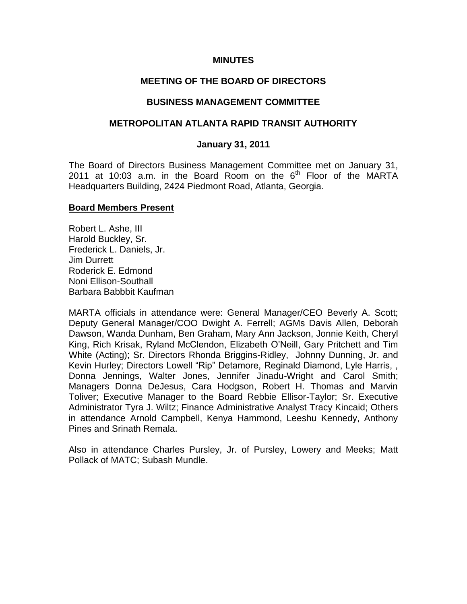### **MINUTES**

### **MEETING OF THE BOARD OF DIRECTORS**

#### **BUSINESS MANAGEMENT COMMITTEE**

### **METROPOLITAN ATLANTA RAPID TRANSIT AUTHORITY**

#### **January 31, 2011**

The Board of Directors Business Management Committee met on January 31, 2011 at 10:03 a.m. in the Board Room on the  $6<sup>th</sup>$  Floor of the MARTA Headquarters Building, 2424 Piedmont Road, Atlanta, Georgia.

#### **Board Members Present**

Robert L. Ashe, III Harold Buckley, Sr. Frederick L. Daniels, Jr. Jim Durrett Roderick E. Edmond Noni Ellison-Southall Barbara Babbbit Kaufman

MARTA officials in attendance were: General Manager/CEO Beverly A. Scott; Deputy General Manager/COO Dwight A. Ferrell; AGMs Davis Allen, Deborah Dawson, Wanda Dunham, Ben Graham, Mary Ann Jackson, Jonnie Keith, Cheryl King, Rich Krisak, Ryland McClendon, Elizabeth O'Neill, Gary Pritchett and Tim White (Acting); Sr. Directors Rhonda Briggins-Ridley, Johnny Dunning, Jr. and Kevin Hurley; Directors Lowell "Rip" Detamore, Reginald Diamond, Lyle Harris, , Donna Jennings, Walter Jones, Jennifer Jinadu-Wright and Carol Smith; Managers Donna DeJesus, Cara Hodgson, Robert H. Thomas and Marvin Toliver; Executive Manager to the Board Rebbie Ellisor-Taylor; Sr. Executive Administrator Tyra J. Wiltz; Finance Administrative Analyst Tracy Kincaid; Others in attendance Arnold Campbell, Kenya Hammond, Leeshu Kennedy, Anthony Pines and Srinath Remala.

Also in attendance Charles Pursley, Jr. of Pursley, Lowery and Meeks; Matt Pollack of MATC; Subash Mundle.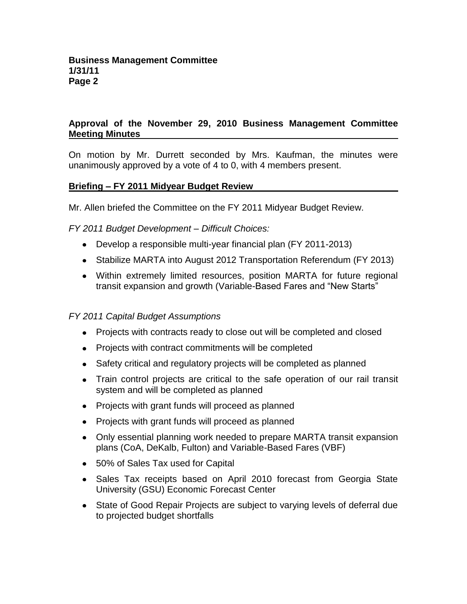# **Approval of the November 29, 2010 Business Management Committee Meeting Minutes**

On motion by Mr. Durrett seconded by Mrs. Kaufman, the minutes were unanimously approved by a vote of 4 to 0, with 4 members present.

## **Briefing – FY 2011 Midyear Budget Review**

Mr. Allen briefed the Committee on the FY 2011 Midyear Budget Review.

*FY 2011 Budget Development – Difficult Choices:*

- Develop a responsible multi-year financial plan (FY 2011-2013)
- Stabilize MARTA into August 2012 Transportation Referendum (FY 2013)
- Within extremely limited resources, position MARTA for future regional transit expansion and growth (Variable-Based Fares and "New Starts"

## *FY 2011 Capital Budget Assumptions*

- Projects with contracts ready to close out will be completed and closed
- Projects with contract commitments will be completed
- Safety critical and regulatory projects will be completed as planned
- Train control projects are critical to the safe operation of our rail transit system and will be completed as planned
- Projects with grant funds will proceed as planned
- Projects with grant funds will proceed as planned
- Only essential planning work needed to prepare MARTA transit expansion plans (CoA, DeKalb, Fulton) and Variable-Based Fares (VBF)
- 50% of Sales Tax used for Capital
- Sales Tax receipts based on April 2010 forecast from Georgia State University (GSU) Economic Forecast Center
- State of Good Repair Projects are subject to varying levels of deferral due to projected budget shortfalls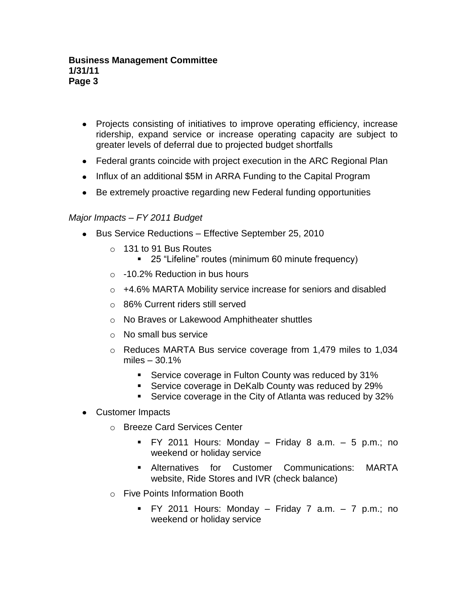- Projects consisting of initiatives to improve operating efficiency, increase ridership, expand service or increase operating capacity are subject to greater levels of deferral due to projected budget shortfalls
- Federal grants coincide with project execution in the ARC Regional Plan
- Influx of an additional \$5M in ARRA Funding to the Capital Program
- Be extremely proactive regarding new Federal funding opportunities

# *Major Impacts – FY 2011 Budget*

- Bus Service Reductions Effective September 25, 2010
	- o 131 to 91 Bus Routes
		- 25 "Lifeline" routes (minimum 60 minute frequency)
	- $\circ$  -10.2% Reduction in bus hours
	- o +4.6% MARTA Mobility service increase for seniors and disabled
	- o 86% Current riders still served
	- o No Braves or Lakewood Amphitheater shuttles
	- o No small bus service
	- $\circ$  Reduces MARTA Bus service coverage from 1,479 miles to 1,034 miles – 30.1%
		- **Service coverage in Fulton County was reduced by 31%**
		- **Service coverage in DeKalb County was reduced by 29%**
		- **Service coverage in the City of Atlanta was reduced by 32%**
- Customer Impacts
	- o Breeze Card Services Center
		- FY 2011 Hours: Monday Friday 8 a.m. 5 p.m.; no weekend or holiday service
		- Alternatives for Customer Communications: MARTA website, Ride Stores and IVR (check balance)
	- o Five Points Information Booth
		- FY 2011 Hours: Monday Friday 7 a.m. 7 p.m.; no weekend or holiday service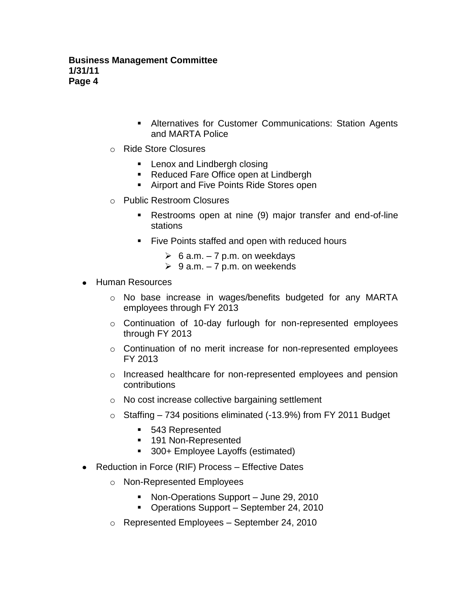- Alternatives for Customer Communications: Station Agents and MARTA Police
- o Ride Store Closures
	- **Lenox and Lindbergh closing**
	- Reduced Fare Office open at Lindbergh
	- **Airport and Five Points Ride Stores open**
- o Public Restroom Closures
	- Restrooms open at nine (9) major transfer and end-of-line stations
	- **Five Points staffed and open with reduced hours** 
		- $\geq 6$  a.m. 7 p.m. on weekdays
		- $\geq 9$  a.m. 7 p.m. on weekends
- Human Resources
	- o No base increase in wages/benefits budgeted for any MARTA employees through FY 2013
	- o Continuation of 10-day furlough for non-represented employees through FY 2013
	- o Continuation of no merit increase for non-represented employees FY 2013
	- $\circ$  Increased healthcare for non-represented employees and pension contributions
	- o No cost increase collective bargaining settlement
	- o Staffing 734 positions eliminated (-13.9%) from FY 2011 Budget
		- 543 Represented
		- 191 Non-Represented
		- 300+ Employee Layoffs (estimated)
- Reduction in Force (RIF) Process Effective Dates
	- o Non-Represented Employees
		- Non-Operations Support June 29, 2010
		- Operations Support September 24, 2010
	- o Represented Employees September 24, 2010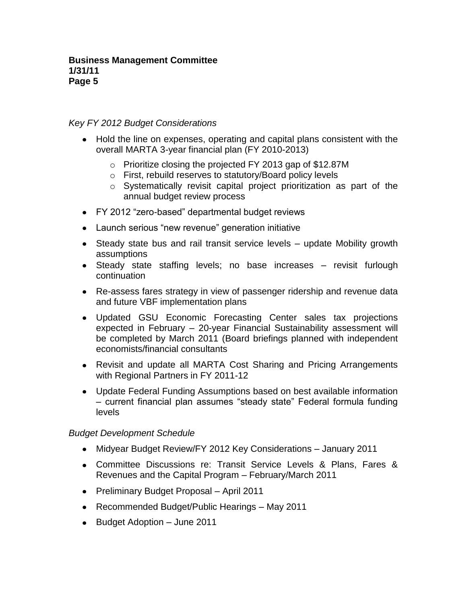## *Key FY 2012 Budget Considerations*

- Hold the line on expenses, operating and capital plans consistent with the overall MARTA 3-year financial plan (FY 2010-2013)
	- o Prioritize closing the projected FY 2013 gap of \$12.87M
	- o First, rebuild reserves to statutory/Board policy levels
	- o Systematically revisit capital project prioritization as part of the annual budget review process
- FY 2012 "zero-based" departmental budget reviews
- Launch serious "new revenue" generation initiative
- Steady state bus and rail transit service levels update Mobility growth assumptions
- Steady state staffing levels; no base increases revisit furlough continuation
- Re-assess fares strategy in view of passenger ridership and revenue data and future VBF implementation plans
- Updated GSU Economic Forecasting Center sales tax projections expected in February – 20-year Financial Sustainability assessment will be completed by March 2011 (Board briefings planned with independent economists/financial consultants
- Revisit and update all MARTA Cost Sharing and Pricing Arrangements with Regional Partners in FY 2011-12
- Update Federal Funding Assumptions based on best available information – current financial plan assumes "steady state" Federal formula funding levels

## *Budget Development Schedule*

- Midyear Budget Review/FY 2012 Key Considerations January 2011
- Committee Discussions re: Transit Service Levels & Plans, Fares & Revenues and the Capital Program – February/March 2011
- Preliminary Budget Proposal April 2011
- Recommended Budget/Public Hearings May 2011
- Budget Adoption June 2011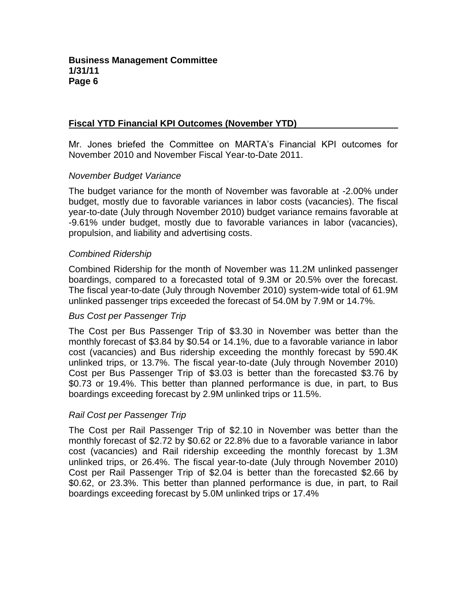# **Fiscal YTD Financial KPI Outcomes (November YTD)**

Mr. Jones briefed the Committee on MARTA's Financial KPI outcomes for November 2010 and November Fiscal Year-to-Date 2011.

### *November Budget Variance*

The budget variance for the month of November was favorable at -2.00% under budget, mostly due to favorable variances in labor costs (vacancies). The fiscal year-to-date (July through November 2010) budget variance remains favorable at -9.61% under budget, mostly due to favorable variances in labor (vacancies), propulsion, and liability and advertising costs.

### *Combined Ridership*

Combined Ridership for the month of November was 11.2M unlinked passenger boardings, compared to a forecasted total of 9.3M or 20.5% over the forecast. The fiscal year-to-date (July through November 2010) system-wide total of 61.9M unlinked passenger trips exceeded the forecast of 54.0M by 7.9M or 14.7%.

### *Bus Cost per Passenger Trip*

The Cost per Bus Passenger Trip of \$3.30 in November was better than the monthly forecast of \$3.84 by \$0.54 or 14.1%, due to a favorable variance in labor cost (vacancies) and Bus ridership exceeding the monthly forecast by 590.4K unlinked trips, or 13.7%. The fiscal year-to-date (July through November 2010) Cost per Bus Passenger Trip of \$3.03 is better than the forecasted \$3.76 by \$0.73 or 19.4%. This better than planned performance is due, in part, to Bus boardings exceeding forecast by 2.9M unlinked trips or 11.5%.

## *Rail Cost per Passenger Trip*

The Cost per Rail Passenger Trip of \$2.10 in November was better than the monthly forecast of \$2.72 by \$0.62 or 22.8% due to a favorable variance in labor cost (vacancies) and Rail ridership exceeding the monthly forecast by 1.3M unlinked trips, or 26.4%. The fiscal year-to-date (July through November 2010) Cost per Rail Passenger Trip of \$2.04 is better than the forecasted \$2.66 by \$0.62, or 23.3%. This better than planned performance is due, in part, to Rail boardings exceeding forecast by 5.0M unlinked trips or 17.4%